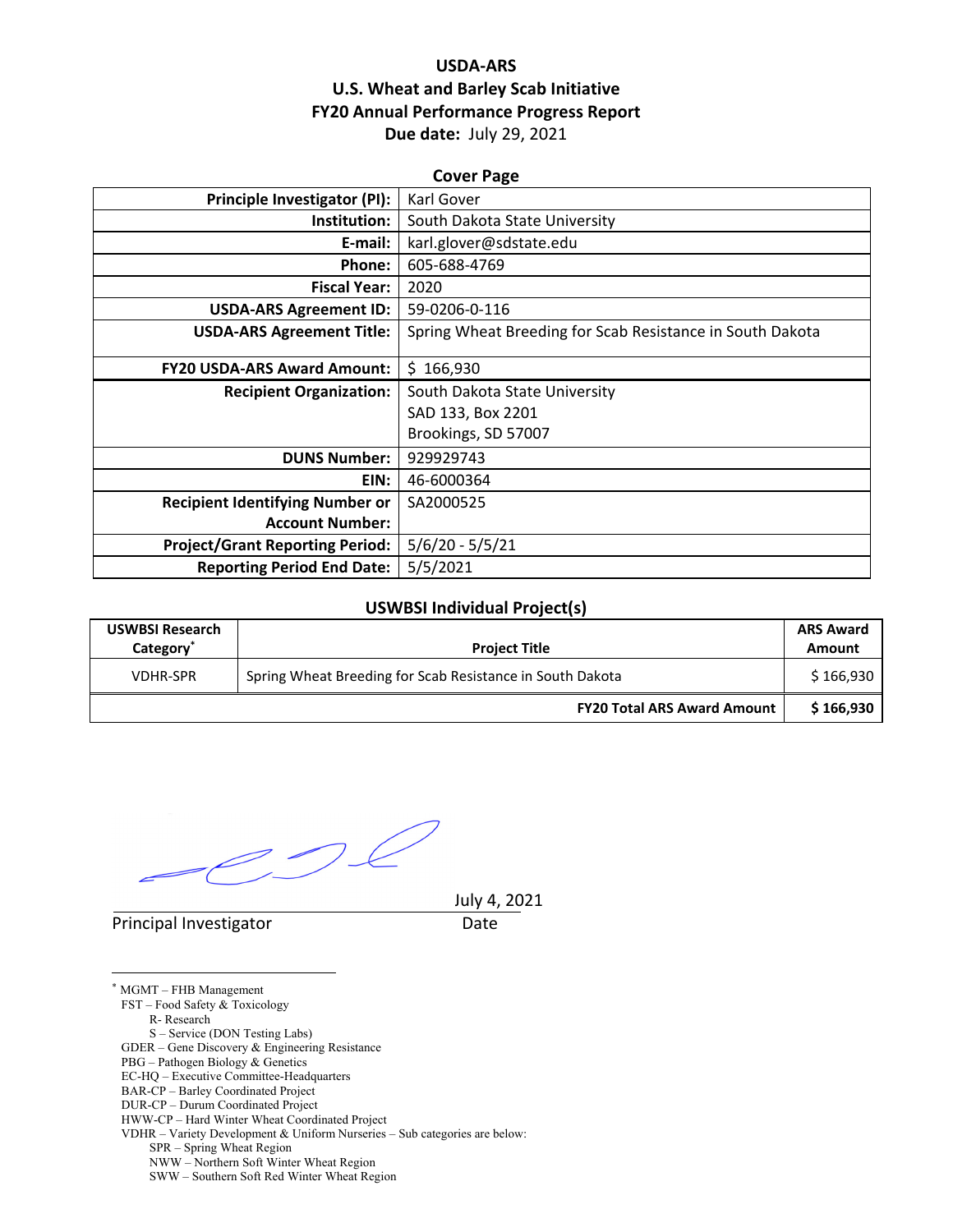## **USDA‐ARS U.S. Wheat and Barley Scab Initiative FY20 Annual Performance Progress Report Due date:** July 29, 2021

| <b>Cover Page</b>                      |                                                           |  |  |  |
|----------------------------------------|-----------------------------------------------------------|--|--|--|
| <b>Principle Investigator (PI):</b>    | Karl Gover                                                |  |  |  |
| Institution:                           | South Dakota State University                             |  |  |  |
| E-mail:                                | karl.glover@sdstate.edu                                   |  |  |  |
| Phone:                                 | 605-688-4769                                              |  |  |  |
| <b>Fiscal Year:</b>                    | 2020                                                      |  |  |  |
| <b>USDA-ARS Agreement ID:</b>          | 59-0206-0-116                                             |  |  |  |
| <b>USDA-ARS Agreement Title:</b>       | Spring Wheat Breeding for Scab Resistance in South Dakota |  |  |  |
| <b>FY20 USDA-ARS Award Amount:</b>     | \$166,930                                                 |  |  |  |
| <b>Recipient Organization:</b>         | South Dakota State University                             |  |  |  |
|                                        | SAD 133, Box 2201                                         |  |  |  |
|                                        | Brookings, SD 57007                                       |  |  |  |
| <b>DUNS Number:</b>                    | 929929743                                                 |  |  |  |
| EIN:                                   | 46-6000364                                                |  |  |  |
| <b>Recipient Identifying Number or</b> | SA2000525                                                 |  |  |  |
| <b>Account Number:</b>                 |                                                           |  |  |  |
| <b>Project/Grant Reporting Period:</b> | $5/6/20 - 5/5/21$                                         |  |  |  |
| <b>Reporting Period End Date:</b>      | 5/5/2021                                                  |  |  |  |

#### **USWBSI Individual Project(s)**

| <b>USWBSI Research</b><br>Category <sup>*</sup> | <b>Project Title</b>                                      |           |
|-------------------------------------------------|-----------------------------------------------------------|-----------|
| <b>VDHR-SPR</b>                                 | Spring Wheat Breeding for Scab Resistance in South Dakota |           |
|                                                 | <b>FY20 Total ARS Award Amount</b>                        | \$166,930 |

 $\mathcal{D}$ 

Principal Investigator **Date** 

July 4, 2021

<u>.</u> \* MGMT – FHB Management FST – Food Safety & Toxicology R- Research S – Service (DON Testing Labs) GDER – Gene Discovery & Engineering Resistance PBG – Pathogen Biology & Genetics EC-HQ – Executive Committee-Headquarters BAR-CP – Barley Coordinated Project DUR-CP – Durum Coordinated Project HWW-CP – Hard Winter Wheat Coordinated Project VDHR – Variety Development & Uniform Nurseries – Sub categories are below: SPR – Spring Wheat Region NWW – Northern Soft Winter Wheat Region SWW – Southern Soft Red Winter Wheat Region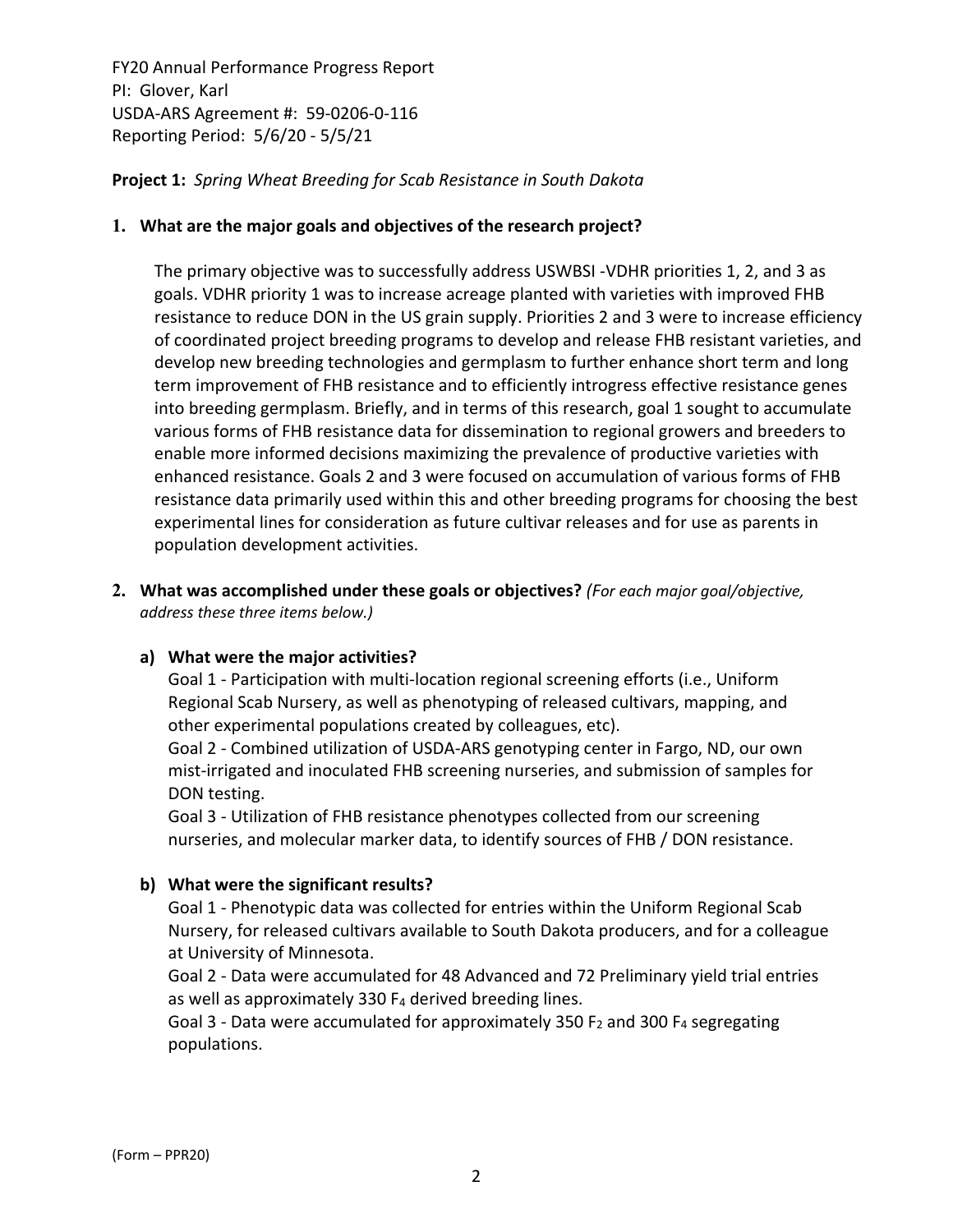**Project 1:** *Spring Wheat Breeding for Scab Resistance in South Dakota*

### **1. What are the major goals and objectives of the research project?**

The primary objective was to successfully address USWBSI ‐VDHR priorities 1, 2, and 3 as goals. VDHR priority 1 was to increase acreage planted with varieties with improved FHB resistance to reduce DON in the US grain supply. Priorities 2 and 3 were to increase efficiency of coordinated project breeding programs to develop and release FHB resistant varieties, and develop new breeding technologies and germplasm to further enhance short term and long term improvement of FHB resistance and to efficiently introgress effective resistance genes into breeding germplasm. Briefly, and in terms of this research, goal 1 sought to accumulate various forms of FHB resistance data for dissemination to regional growers and breeders to enable more informed decisions maximizing the prevalence of productive varieties with enhanced resistance. Goals 2 and 3 were focused on accumulation of various forms of FHB resistance data primarily used within this and other breeding programs for choosing the best experimental lines for consideration as future cultivar releases and for use as parents in population development activities.

**2. What was accomplished under these goals or objectives?** *(For each major goal/objective, address these three items below.)*

#### **a) What were the major activities?**

Goal 1 ‐ Participation with multi‐location regional screening efforts (i.e., Uniform Regional Scab Nursery, as well as phenotyping of released cultivars, mapping, and other experimental populations created by colleagues, etc).

Goal 2 ‐ Combined utilization of USDA‐ARS genotyping center in Fargo, ND, our own mist‐irrigated and inoculated FHB screening nurseries, and submission of samples for DON testing.

Goal 3 ‐ Utilization of FHB resistance phenotypes collected from our screening nurseries, and molecular marker data, to identify sources of FHB / DON resistance.

## **b) What were the significant results?**

Goal 1 ‐ Phenotypic data was collected for entries within the Uniform Regional Scab Nursery, for released cultivars available to South Dakota producers, and for a colleague at University of Minnesota.

Goal 2 ‐ Data were accumulated for 48 Advanced and 72 Preliminary yield trial entries as well as approximately 330  $F_4$  derived breeding lines.

Goal 3 - Data were accumulated for approximately 350  $F_2$  and 300  $F_4$  segregating populations.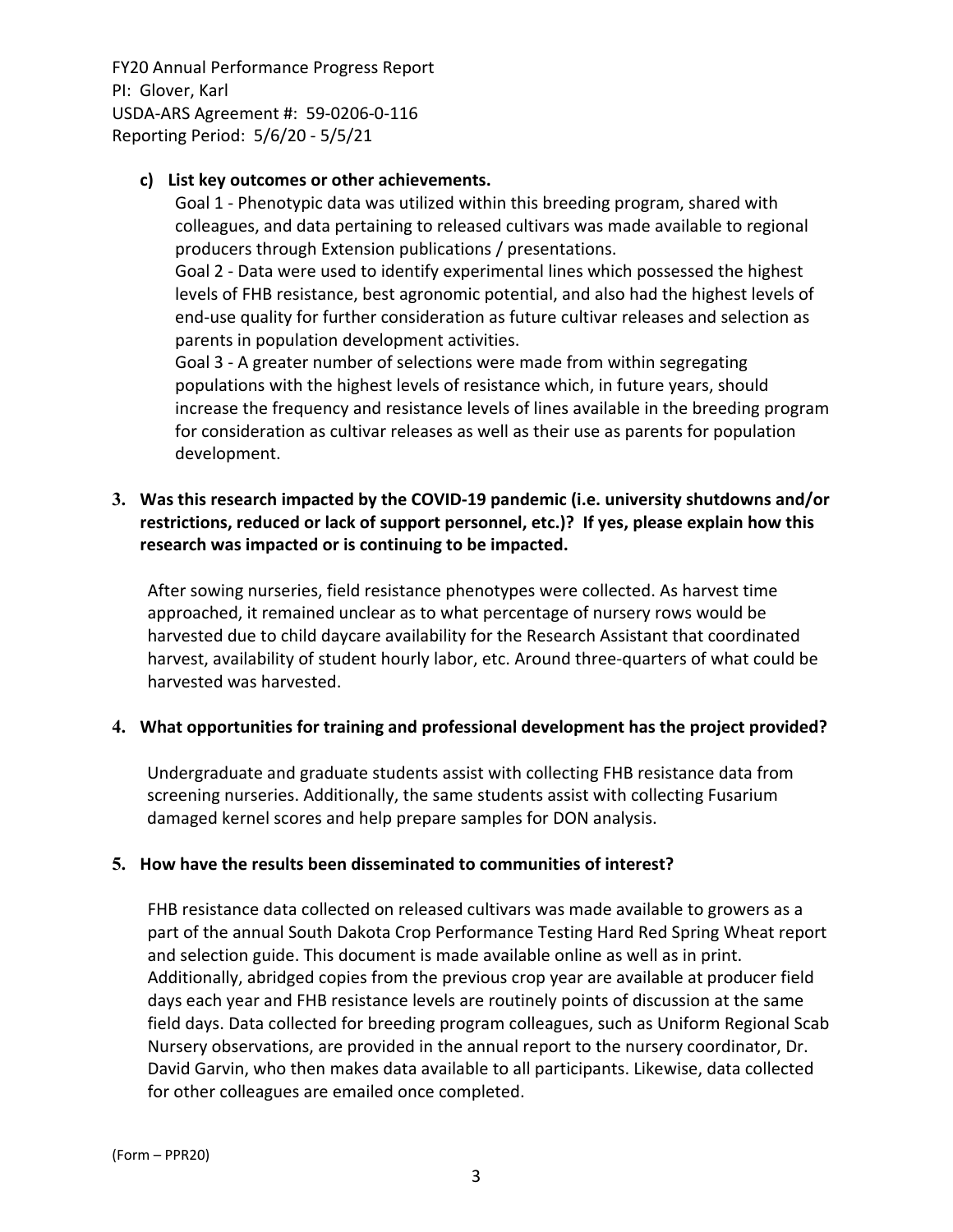### **c) List key outcomes or other achievements.**

Goal 1 ‐ Phenotypic data was utilized within this breeding program, shared with colleagues, and data pertaining to released cultivars was made available to regional producers through Extension publications / presentations.

Goal 2 ‐ Data were used to identify experimental lines which possessed the highest levels of FHB resistance, best agronomic potential, and also had the highest levels of end‐use quality for further consideration as future cultivar releases and selection as parents in population development activities.

Goal 3 ‐ A greater number of selections were made from within segregating populations with the highest levels of resistance which, in future years, should increase the frequency and resistance levels of lines available in the breeding program for consideration as cultivar releases as well as their use as parents for population development.

## **3. Was this research impacted by the COVID‐19 pandemic (i.e. university shutdowns and/or restrictions, reduced or lack of support personnel, etc.)? If yes, please explain how this research was impacted or is continuing to be impacted.**

After sowing nurseries, field resistance phenotypes were collected. As harvest time approached, it remained unclear as to what percentage of nursery rows would be harvested due to child daycare availability for the Research Assistant that coordinated harvest, availability of student hourly labor, etc. Around three-quarters of what could be harvested was harvested.

## **4. What opportunities for training and professional development has the project provided?**

Undergraduate and graduate students assist with collecting FHB resistance data from screening nurseries. Additionally, the same students assist with collecting Fusarium damaged kernel scores and help prepare samples for DON analysis.

## **5. How have the results been disseminated to communities of interest?**

FHB resistance data collected on released cultivars was made available to growers as a part of the annual South Dakota Crop Performance Testing Hard Red Spring Wheat report and selection guide. This document is made available online as well as in print. Additionally, abridged copies from the previous crop year are available at producer field days each year and FHB resistance levels are routinely points of discussion at the same field days. Data collected for breeding program colleagues, such as Uniform Regional Scab Nursery observations, are provided in the annual report to the nursery coordinator, Dr. David Garvin, who then makes data available to all participants. Likewise, data collected for other colleagues are emailed once completed.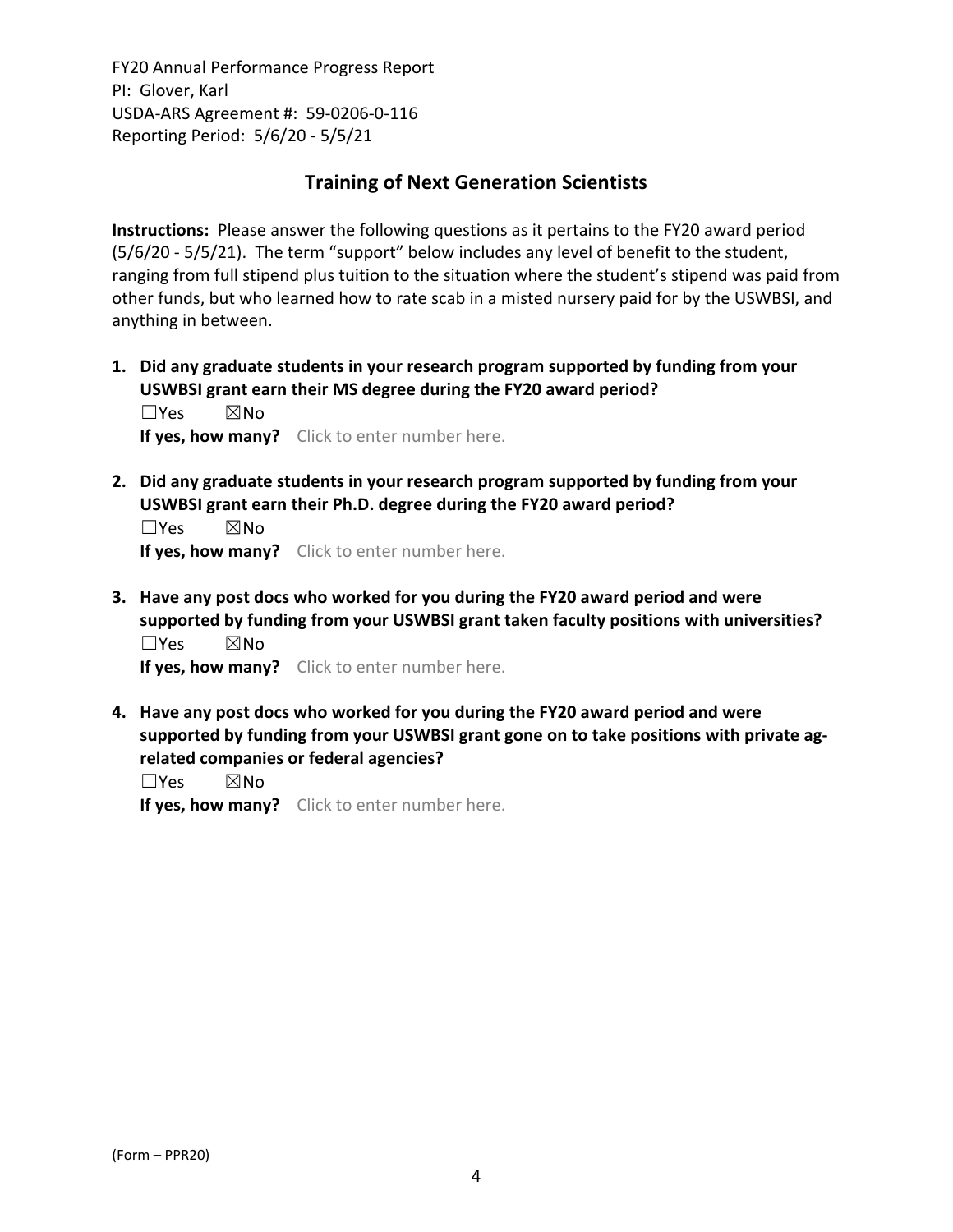## **Training of Next Generation Scientists**

**Instructions:** Please answer the following questions as it pertains to the FY20 award period (5/6/20 ‐ 5/5/21). The term "support" below includes any level of benefit to the student, ranging from full stipend plus tuition to the situation where the student's stipend was paid from other funds, but who learned how to rate scab in a misted nursery paid for by the USWBSI, and anything in between.

**1. Did any graduate students in your research program supported by funding from your USWBSI grant earn their MS degree during the FY20 award period?** ☐Yes ☒No

**If yes, how many?** Click to enter number here.

**2. Did any graduate students in your research program supported by funding from your USWBSI grant earn their Ph.D. degree during the FY20 award period?**

☐Yes ☒No **If yes, how many?** Click to enter number here.

**3. Have any post docs who worked for you during the FY20 award period and were supported by funding from your USWBSI grant taken faculty positions with universities?** ☐Yes ☒No

**If yes, how many?** Click to enter number here.

**4. Have any post docs who worked for you during the FY20 award period and were supported by funding from your USWBSI grant gone on to take positions with private ag‐ related companies or federal agencies?**

☐Yes ☒No

**If yes, how many?** Click to enter number here.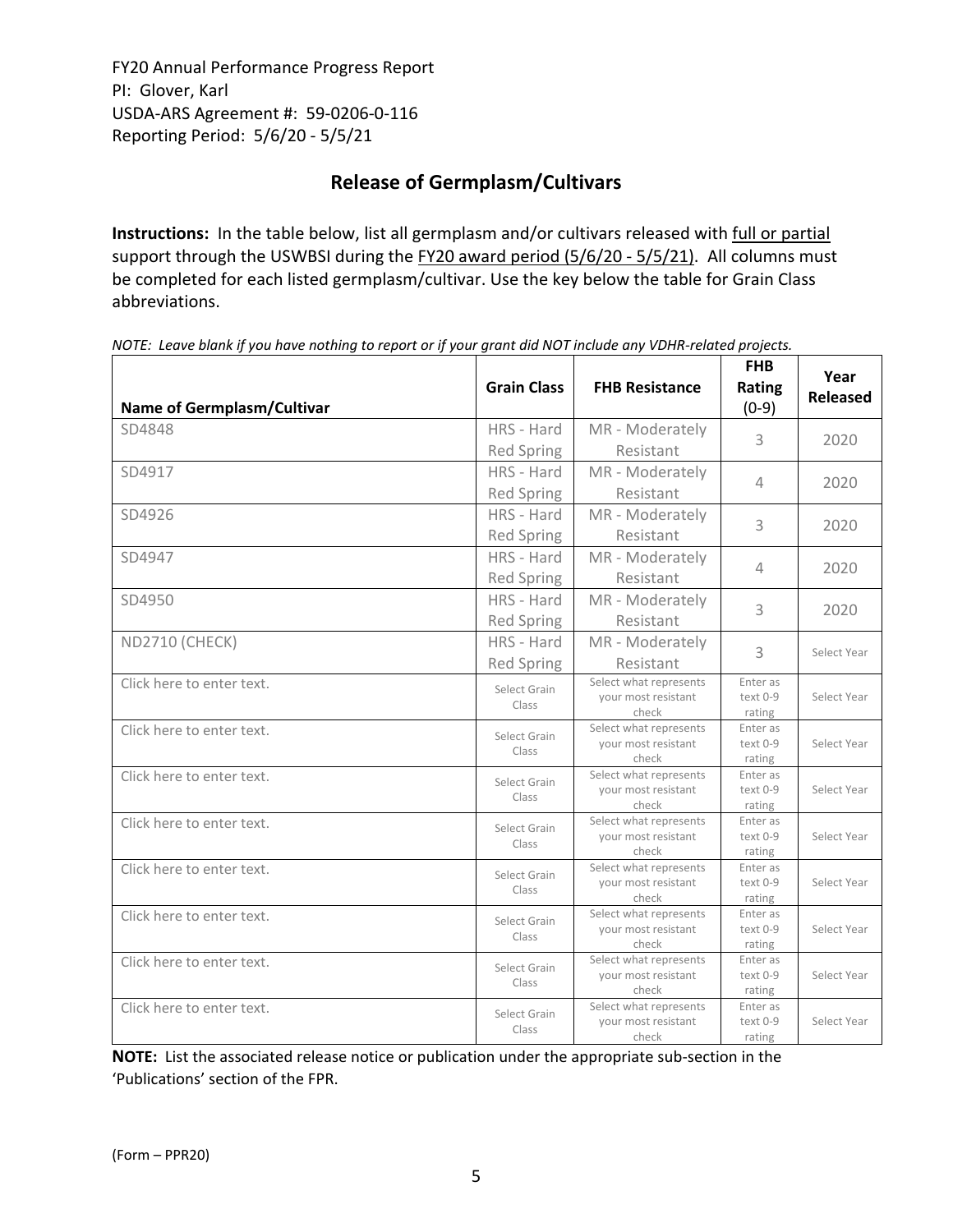# **Release of Germplasm/Cultivars**

**Instructions:** In the table below, list all germplasm and/or cultivars released with full or partial support through the USWBSI during the FY20 award period (5/6/20 - 5/5/21). All columns must be completed for each listed germplasm/cultivar. Use the key below the table for Grain Class abbreviations. 

| <b>Name of Germplasm/Cultivar</b> | <b>Grain Class</b>    | <b>FHB Resistance</b>                                  | <b>FHB</b><br>Rating<br>$(0-9)$ | Year<br><b>Released</b> |
|-----------------------------------|-----------------------|--------------------------------------------------------|---------------------------------|-------------------------|
| SD4848                            | HRS - Hard            | MR - Moderately                                        | 3                               | 2020                    |
|                                   | <b>Red Spring</b>     | Resistant                                              |                                 |                         |
| SD4917                            | HRS - Hard            | MR - Moderately                                        | 4                               | 2020                    |
|                                   | <b>Red Spring</b>     | Resistant                                              |                                 |                         |
| SD4926                            | HRS - Hard            | MR - Moderately                                        | 3                               | 2020                    |
|                                   | <b>Red Spring</b>     | Resistant                                              |                                 |                         |
| SD4947                            | HRS - Hard            | MR - Moderately                                        | 4                               | 2020                    |
|                                   | <b>Red Spring</b>     | Resistant                                              |                                 |                         |
| SD4950                            | HRS - Hard            | MR - Moderately                                        | 3                               | 2020                    |
|                                   | <b>Red Spring</b>     | Resistant                                              |                                 |                         |
| <b>ND2710 (CHECK)</b>             | HRS - Hard            | MR - Moderately                                        | 3                               | Select Year             |
|                                   | <b>Red Spring</b>     | Resistant                                              |                                 |                         |
| Click here to enter text.         | Select Grain<br>Class | Select what represents<br>your most resistant<br>check | Enter as<br>text 0-9<br>rating  | Select Year             |
| Click here to enter text.         | Select Grain<br>Class | Select what represents<br>your most resistant<br>check | Enter as<br>text 0-9<br>rating  | Select Year             |
| Click here to enter text.         | Select Grain<br>Class | Select what represents<br>your most resistant<br>check | Enter as<br>text 0-9<br>rating  | Select Year             |
| Click here to enter text.         | Select Grain<br>Class | Select what represents<br>your most resistant<br>check | Enter as<br>text 0-9<br>rating  | Select Year             |
| Click here to enter text.         | Select Grain<br>Class | Select what represents<br>your most resistant<br>check | Enter as<br>text 0-9<br>rating  | Select Year             |
| Click here to enter text.         | Select Grain<br>Class | Select what represents<br>your most resistant<br>check | Enter as<br>text 0-9<br>rating  | Select Year             |
| Click here to enter text.         | Select Grain<br>Class | Select what represents<br>your most resistant<br>check | Enter as<br>text 0-9<br>rating  | Select Year             |
| Click here to enter text.         | Select Grain<br>Class | Select what represents<br>your most resistant<br>check | Enter as<br>text 0-9<br>rating  | Select Year             |

NOTE: Leave blank if you have nothing to report or if your grant did NOT include any VDHR-related projects.

**NOTE:** List the associated release notice or publication under the appropriate sub-section in the 'Publications' section of the FPR.